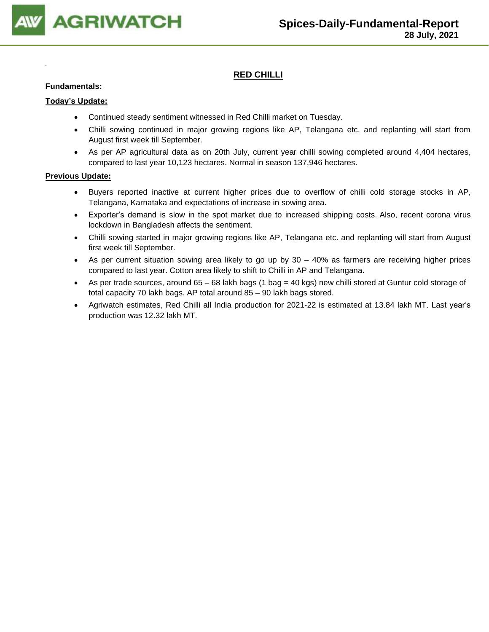

## **RED CHILLI**

#### **Fundamentals:**

#### **Today's Update:**

- Continued steady sentiment witnessed in Red Chilli market on Tuesday.
- Chilli sowing continued in major growing regions like AP, Telangana etc. and replanting will start from August first week till September.
- As per AP agricultural data as on 20th July, current year chilli sowing completed around 4,404 hectares, compared to last year 10,123 hectares. Normal in season 137,946 hectares.

- Buyers reported inactive at current higher prices due to overflow of chilli cold storage stocks in AP, Telangana, Karnataka and expectations of increase in sowing area.
- Exporter's demand is slow in the spot market due to increased shipping costs. Also, recent corona virus lockdown in Bangladesh affects the sentiment.
- Chilli sowing started in major growing regions like AP, Telangana etc. and replanting will start from August first week till September.
- As per current situation sowing area likely to go up by 30 40% as farmers are receiving higher prices compared to last year. Cotton area likely to shift to Chilli in AP and Telangana.
- As per trade sources, around 65 68 lakh bags (1 bag = 40 kgs) new chilli stored at Guntur cold storage of total capacity 70 lakh bags. AP total around 85 – 90 lakh bags stored.
- Agriwatch estimates, Red Chilli all India production for 2021-22 is estimated at 13.84 lakh MT. Last year's production was 12.32 lakh MT.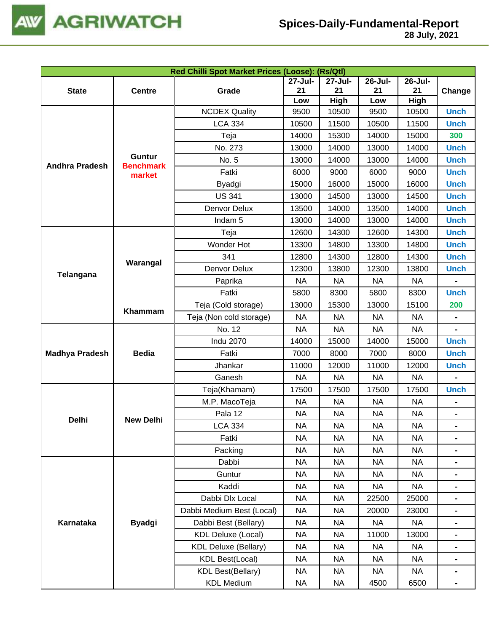

|                       |                  |                             |           | Red Chilli Spot Market Prices (Loose): (Rs/Qtl) |           |                                                                                        |                                                                                                                                                                                                                                                                                                                                                                                               |  |  |  |  |  |
|-----------------------|------------------|-----------------------------|-----------|-------------------------------------------------|-----------|----------------------------------------------------------------------------------------|-----------------------------------------------------------------------------------------------------------------------------------------------------------------------------------------------------------------------------------------------------------------------------------------------------------------------------------------------------------------------------------------------|--|--|--|--|--|
|                       |                  |                             | 27-Jul-   | 27-Jul-                                         | 26-Jul-   | 26-Jul-                                                                                |                                                                                                                                                                                                                                                                                                                                                                                               |  |  |  |  |  |
| <b>State</b>          | <b>Centre</b>    | Grade                       | 21        | 21                                              | 21        |                                                                                        |                                                                                                                                                                                                                                                                                                                                                                                               |  |  |  |  |  |
|                       |                  |                             | Low       | <b>High</b>                                     | Low       |                                                                                        |                                                                                                                                                                                                                                                                                                                                                                                               |  |  |  |  |  |
|                       |                  | <b>NCDEX Quality</b>        | 9500      | 10500                                           | 9500      |                                                                                        |                                                                                                                                                                                                                                                                                                                                                                                               |  |  |  |  |  |
|                       |                  | <b>LCA 334</b>              | 10500     | 11500                                           | 10500     |                                                                                        |                                                                                                                                                                                                                                                                                                                                                                                               |  |  |  |  |  |
|                       |                  | Teja                        | 14000     | 15300                                           | 14000     |                                                                                        |                                                                                                                                                                                                                                                                                                                                                                                               |  |  |  |  |  |
|                       | Guntur           | No. 273                     | 13000     | 14000                                           | 13000     |                                                                                        |                                                                                                                                                                                                                                                                                                                                                                                               |  |  |  |  |  |
| <b>Andhra Pradesh</b> | <b>Benchmark</b> | No. 5                       | 13000     | 14000                                           | 13000     |                                                                                        |                                                                                                                                                                                                                                                                                                                                                                                               |  |  |  |  |  |
|                       | market           | Fatki                       | 6000      | 9000                                            | 6000      |                                                                                        |                                                                                                                                                                                                                                                                                                                                                                                               |  |  |  |  |  |
|                       |                  | Byadgi                      | 15000     | 16000                                           | 15000     |                                                                                        |                                                                                                                                                                                                                                                                                                                                                                                               |  |  |  |  |  |
|                       |                  | <b>US 341</b>               | 13000     | 14500                                           | 13000     |                                                                                        |                                                                                                                                                                                                                                                                                                                                                                                               |  |  |  |  |  |
|                       |                  | Denvor Delux                | 13500     | 14000                                           | 13500     | 14000                                                                                  | <b>Unch</b>                                                                                                                                                                                                                                                                                                                                                                                   |  |  |  |  |  |
|                       |                  | Indam <sub>5</sub>          | 13000     | 14000                                           | 13000     | 14000                                                                                  | <b>Unch</b>                                                                                                                                                                                                                                                                                                                                                                                   |  |  |  |  |  |
|                       |                  | Teja                        | 12600     | 14300                                           | 12600     | 14300                                                                                  | <b>Unch</b>                                                                                                                                                                                                                                                                                                                                                                                   |  |  |  |  |  |
|                       |                  | Wonder Hot                  | 13300     | 14800                                           | 13300     | 14800                                                                                  | <b>Unch</b>                                                                                                                                                                                                                                                                                                                                                                                   |  |  |  |  |  |
|                       | Warangal         | 341                         | 12800     | 14300                                           | 12800     | 14300                                                                                  | <b>Unch</b>                                                                                                                                                                                                                                                                                                                                                                                   |  |  |  |  |  |
|                       |                  | Denvor Delux                | 12300     | 13800                                           | 12300     | 13800                                                                                  | <b>Unch</b>                                                                                                                                                                                                                                                                                                                                                                                   |  |  |  |  |  |
| Telangana             |                  | Paprika                     | <b>NA</b> | <b>NA</b>                                       | <b>NA</b> | <b>NA</b>                                                                              |                                                                                                                                                                                                                                                                                                                                                                                               |  |  |  |  |  |
|                       |                  | Fatki                       | 5800      | 8300                                            | 5800      | 8300                                                                                   | <b>Unch</b>                                                                                                                                                                                                                                                                                                                                                                                   |  |  |  |  |  |
|                       |                  | Teja (Cold storage)         | 13000     | 15300                                           | 13000     | 15100                                                                                  | 200                                                                                                                                                                                                                                                                                                                                                                                           |  |  |  |  |  |
|                       | Khammam          | Teja (Non cold storage)     | <b>NA</b> | <b>NA</b>                                       | <b>NA</b> | <b>NA</b>                                                                              |                                                                                                                                                                                                                                                                                                                                                                                               |  |  |  |  |  |
|                       |                  | No. 12                      | <b>NA</b> | <b>NA</b>                                       | <b>NA</b> | <b>NA</b>                                                                              |                                                                                                                                                                                                                                                                                                                                                                                               |  |  |  |  |  |
|                       |                  | <b>Indu 2070</b>            | 14000     | 15000                                           | 14000     | 15000                                                                                  | <b>Unch</b>                                                                                                                                                                                                                                                                                                                                                                                   |  |  |  |  |  |
| <b>Madhya Pradesh</b> | <b>Bedia</b>     | Fatki                       | 7000      | 8000                                            | 7000      | 8000                                                                                   | <b>Unch</b>                                                                                                                                                                                                                                                                                                                                                                                   |  |  |  |  |  |
|                       |                  | Jhankar                     | 11000     | 12000                                           | 11000     | 12000                                                                                  | <b>Unch</b>                                                                                                                                                                                                                                                                                                                                                                                   |  |  |  |  |  |
|                       |                  | Ganesh                      | <b>NA</b> | <b>NA</b>                                       | <b>NA</b> | <b>NA</b>                                                                              | $\blacksquare$                                                                                                                                                                                                                                                                                                                                                                                |  |  |  |  |  |
|                       |                  | Teja(Khamam)                | 17500     | 17500                                           | 17500     | 17500                                                                                  | <b>Unch</b>                                                                                                                                                                                                                                                                                                                                                                                   |  |  |  |  |  |
|                       |                  | M.P. MacoTeja               | <b>NA</b> | <b>NA</b>                                       | <b>NA</b> | <b>NA</b>                                                                              | 21<br>Change<br>High<br><b>Unch</b><br><b>Unch</b><br>300<br><b>Unch</b><br><b>Unch</b><br>9000<br><b>Unch</b><br><b>Unch</b><br><b>Unch</b><br><b>NA</b><br><b>NA</b><br><b>NA</b><br><b>NA</b><br><b>NA</b><br><b>NA</b><br><b>NA</b><br>$\blacksquare$<br><b>NA</b><br>$\blacksquare$<br>$\blacksquare$<br><b>NA</b><br><b>NA</b><br>$\blacksquare$<br><b>NA</b><br>6500<br>$\blacksquare$ |  |  |  |  |  |
|                       |                  | Pala 12                     | NA        | <b>NA</b>                                       | <b>NA</b> |                                                                                        |                                                                                                                                                                                                                                                                                                                                                                                               |  |  |  |  |  |
| Delhi                 | <b>New Delhi</b> | <b>LCA 334</b>              | <b>NA</b> | <b>NA</b>                                       | <b>NA</b> |                                                                                        |                                                                                                                                                                                                                                                                                                                                                                                               |  |  |  |  |  |
|                       |                  | Fatki                       | <b>NA</b> | <b>NA</b>                                       | <b>NA</b> | 10500<br>11500<br>15000<br>14000<br>14000<br>16000<br>14500<br>25000<br>23000<br>13000 |                                                                                                                                                                                                                                                                                                                                                                                               |  |  |  |  |  |
|                       |                  | Packing                     | <b>NA</b> | <b>NA</b>                                       | <b>NA</b> |                                                                                        |                                                                                                                                                                                                                                                                                                                                                                                               |  |  |  |  |  |
|                       |                  | Dabbi                       | <b>NA</b> | <b>NA</b>                                       | <b>NA</b> |                                                                                        |                                                                                                                                                                                                                                                                                                                                                                                               |  |  |  |  |  |
|                       |                  | Guntur                      | <b>NA</b> | <b>NA</b>                                       | <b>NA</b> |                                                                                        |                                                                                                                                                                                                                                                                                                                                                                                               |  |  |  |  |  |
|                       |                  | Kaddi                       | <b>NA</b> | <b>NA</b>                                       | <b>NA</b> |                                                                                        |                                                                                                                                                                                                                                                                                                                                                                                               |  |  |  |  |  |
|                       |                  | Dabbi Dlx Local             | <b>NA</b> | <b>NA</b>                                       | 22500     |                                                                                        |                                                                                                                                                                                                                                                                                                                                                                                               |  |  |  |  |  |
|                       |                  | Dabbi Medium Best (Local)   | NA        | NA                                              | 20000     |                                                                                        |                                                                                                                                                                                                                                                                                                                                                                                               |  |  |  |  |  |
| Karnataka             | <b>Byadgi</b>    | Dabbi Best (Bellary)        | NA        | <b>NA</b>                                       | <b>NA</b> |                                                                                        |                                                                                                                                                                                                                                                                                                                                                                                               |  |  |  |  |  |
|                       |                  | <b>KDL Deluxe (Local)</b>   | NA        | NA                                              | 11000     |                                                                                        |                                                                                                                                                                                                                                                                                                                                                                                               |  |  |  |  |  |
|                       |                  | <b>KDL Deluxe (Bellary)</b> | NA        | <b>NA</b>                                       | <b>NA</b> |                                                                                        |                                                                                                                                                                                                                                                                                                                                                                                               |  |  |  |  |  |
|                       |                  | <b>KDL Best(Local)</b>      | NA        | <b>NA</b>                                       | <b>NA</b> |                                                                                        |                                                                                                                                                                                                                                                                                                                                                                                               |  |  |  |  |  |
|                       |                  | <b>KDL Best(Bellary)</b>    | <b>NA</b> | <b>NA</b>                                       | <b>NA</b> |                                                                                        |                                                                                                                                                                                                                                                                                                                                                                                               |  |  |  |  |  |
|                       |                  |                             |           |                                                 |           |                                                                                        |                                                                                                                                                                                                                                                                                                                                                                                               |  |  |  |  |  |
|                       |                  | <b>KDL Medium</b>           | NA        | NA                                              | 4500      |                                                                                        |                                                                                                                                                                                                                                                                                                                                                                                               |  |  |  |  |  |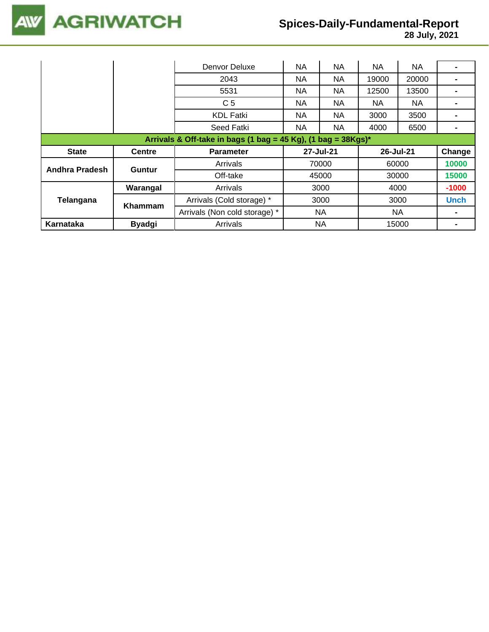

|                                                                  |               | Denvor Deluxe                 | <b>NA</b> | NA        | NA    | <b>NA</b> |             |  |  |
|------------------------------------------------------------------|---------------|-------------------------------|-----------|-----------|-------|-----------|-------------|--|--|
|                                                                  |               | 2043                          | <b>NA</b> | NA        | 19000 | 20000     |             |  |  |
|                                                                  |               | 5531                          | NA.       | <b>NA</b> | 12500 | 13500     |             |  |  |
|                                                                  |               | C <sub>5</sub>                | NA.       | NA        | NA.   | NA.       |             |  |  |
|                                                                  |               | <b>KDL Fatki</b>              | NA.       | NA        | 3000  | 3500      |             |  |  |
|                                                                  |               | Seed Fatki                    | NA.       | NA.       | 4000  | 6500      |             |  |  |
| Arrivals & Off-take in bags (1 bag = 45 Kg), (1 bag = $38Kgs$ )* |               |                               |           |           |       |           |             |  |  |
|                                                                  |               |                               |           |           |       |           |             |  |  |
| <b>State</b>                                                     | <b>Centre</b> | <b>Parameter</b>              |           | 27-Jul-21 |       | 26-Jul-21 | Change      |  |  |
|                                                                  |               | Arrivals                      |           | 70000     |       | 60000     | 10000       |  |  |
| Andhra Pradesh                                                   | Guntur        | Off-take                      |           | 45000     |       | 30000     | 15000       |  |  |
|                                                                  | Warangal      | Arrivals                      |           | 3000      |       | 4000      | $-1000$     |  |  |
| Telangana                                                        |               | Arrivals (Cold storage) *     |           | 3000      |       | 3000      | <b>Unch</b> |  |  |
|                                                                  | Khammam       | Arrivals (Non cold storage) * |           | <b>NA</b> |       | NA.       |             |  |  |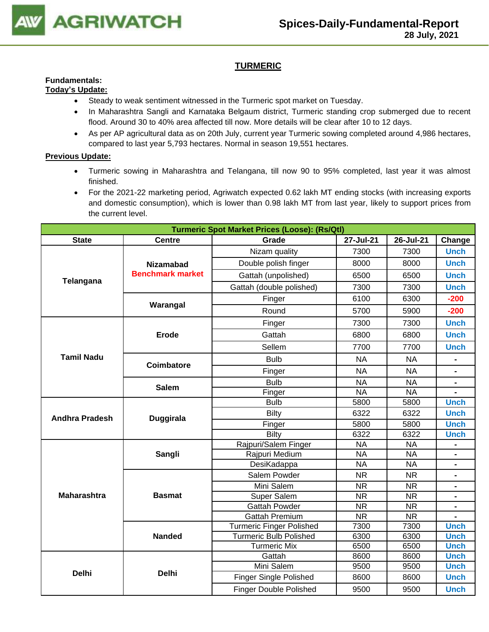

## **TURMERIC**

#### **Fundamentals: Today's Update:**

- Steady to weak sentiment witnessed in the Turmeric spot market on Tuesday.
- In Maharashtra Sangli and Karnataka Belgaum district, Turmeric standing crop submerged due to recent flood. Around 30 to 40% area affected till now. More details will be clear after 10 to 12 days.
- As per AP agricultural data as on 20th July, current year Turmeric sowing completed around 4,986 hectares, compared to last year 5,793 hectares. Normal in season 19,551 hectares.

- Turmeric sowing in Maharashtra and Telangana, till now 90 to 95% completed, last year it was almost finished.
- For the 2021-22 marketing period, Agriwatch expected 0.62 lakh MT ending stocks (with increasing exports and domestic consumption), which is lower than 0.98 lakh MT from last year, likely to support prices from the current level.

| <b>Turmeric Spot Market Prices (Loose): (Rs/Qtl)</b> |                         |                                 |                                                                                                                                                                                                                                                             |           |                |  |  |
|------------------------------------------------------|-------------------------|---------------------------------|-------------------------------------------------------------------------------------------------------------------------------------------------------------------------------------------------------------------------------------------------------------|-----------|----------------|--|--|
| <b>State</b>                                         | <b>Centre</b>           | Grade                           | 27-Jul-21                                                                                                                                                                                                                                                   | 26-Jul-21 | Change         |  |  |
|                                                      |                         | Nizam quality                   | 7300                                                                                                                                                                                                                                                        | 7300      | <b>Unch</b>    |  |  |
|                                                      | <b>Nizamabad</b>        | Double polish finger            | 8000                                                                                                                                                                                                                                                        | 8000      | <b>Unch</b>    |  |  |
|                                                      | <b>Benchmark market</b> | Gattah (unpolished)             | 6500                                                                                                                                                                                                                                                        | 6500      | <b>Unch</b>    |  |  |
| Telangana                                            |                         | Gattah (double polished)        | 7300                                                                                                                                                                                                                                                        | 7300      | <b>Unch</b>    |  |  |
|                                                      |                         | Finger                          | 6100                                                                                                                                                                                                                                                        | 6300      | $-200$         |  |  |
|                                                      | Warangal                | Round                           | 5700                                                                                                                                                                                                                                                        | 5900      | $-200$         |  |  |
|                                                      |                         | Finger                          | 7300                                                                                                                                                                                                                                                        | 7300      | <b>Unch</b>    |  |  |
|                                                      | <b>Erode</b>            | Gattah                          | 6800                                                                                                                                                                                                                                                        | 6800      | <b>Unch</b>    |  |  |
|                                                      |                         | Sellem                          | 7700                                                                                                                                                                                                                                                        | 7700      | <b>Unch</b>    |  |  |
| <b>Tamil Nadu</b>                                    | Coimbatore              | <b>Bulb</b>                     | <b>NA</b>                                                                                                                                                                                                                                                   | <b>NA</b> |                |  |  |
|                                                      |                         | Finger                          | <b>NA</b>                                                                                                                                                                                                                                                   | <b>NA</b> | $\blacksquare$ |  |  |
|                                                      | <b>Salem</b>            | <b>Bulb</b>                     | <b>NA</b>                                                                                                                                                                                                                                                   | <b>NA</b> |                |  |  |
|                                                      |                         | Finger                          | <b>NA</b>                                                                                                                                                                                                                                                   | <b>NA</b> |                |  |  |
|                                                      |                         | <b>Bulb</b>                     | 5800                                                                                                                                                                                                                                                        | 5800      | <b>Unch</b>    |  |  |
| <b>Andhra Pradesh</b>                                | <b>Duggirala</b>        | Bilty                           | 6322                                                                                                                                                                                                                                                        | 6322      | <b>Unch</b>    |  |  |
|                                                      |                         | Finger                          | 5800                                                                                                                                                                                                                                                        | 5800      | <b>Unch</b>    |  |  |
|                                                      |                         | Bilty                           | 6322                                                                                                                                                                                                                                                        | 6322      | <b>Unch</b>    |  |  |
|                                                      |                         | Rajpuri/Salem Finger            | <b>NA</b>                                                                                                                                                                                                                                                   | <b>NA</b> | $\blacksquare$ |  |  |
|                                                      | Sangli                  | Rajpuri Medium                  |                                                                                                                                                                                                                                                             | <b>NA</b> |                |  |  |
|                                                      |                         | DesiKadappa                     |                                                                                                                                                                                                                                                             |           |                |  |  |
|                                                      |                         | Salem Powder                    | <b>NR</b>                                                                                                                                                                                                                                                   | <b>NR</b> | ۰              |  |  |
|                                                      |                         | Mini Salem                      | <b>NA</b><br><b>NA</b><br><b>NA</b><br><b>NR</b><br><b>NR</b><br><b>NR</b><br><b>NR</b><br><b>NR</b><br><b>NR</b><br><b>NR</b><br><b>NR</b><br>7300<br>7300<br>6300<br>6300<br>6500<br>6500<br>8600<br>8600<br>9500<br>9500<br>8600<br>8600<br>9500<br>9500 |           |                |  |  |
| <b>Maharashtra</b>                                   | <b>Basmat</b>           | Super Salem                     |                                                                                                                                                                                                                                                             |           | $\blacksquare$ |  |  |
|                                                      |                         | <b>Gattah Powder</b>            |                                                                                                                                                                                                                                                             |           | $\blacksquare$ |  |  |
|                                                      |                         | <b>Gattah Premium</b>           |                                                                                                                                                                                                                                                             |           | $\blacksquare$ |  |  |
|                                                      |                         | <b>Turmeric Finger Polished</b> |                                                                                                                                                                                                                                                             |           | <b>Unch</b>    |  |  |
|                                                      | <b>Nanded</b>           | <b>Turmeric Bulb Polished</b>   |                                                                                                                                                                                                                                                             |           | <b>Unch</b>    |  |  |
|                                                      |                         | <b>Turmeric Mix</b>             |                                                                                                                                                                                                                                                             |           | <b>Unch</b>    |  |  |
|                                                      |                         | Gattah                          |                                                                                                                                                                                                                                                             |           | <b>Unch</b>    |  |  |
|                                                      |                         | Mini Salem                      |                                                                                                                                                                                                                                                             |           | <b>Unch</b>    |  |  |
| <b>Delhi</b>                                         | <b>Delhi</b>            | <b>Finger Single Polished</b>   |                                                                                                                                                                                                                                                             |           | <b>Unch</b>    |  |  |
|                                                      |                         | <b>Finger Double Polished</b>   |                                                                                                                                                                                                                                                             |           | <b>Unch</b>    |  |  |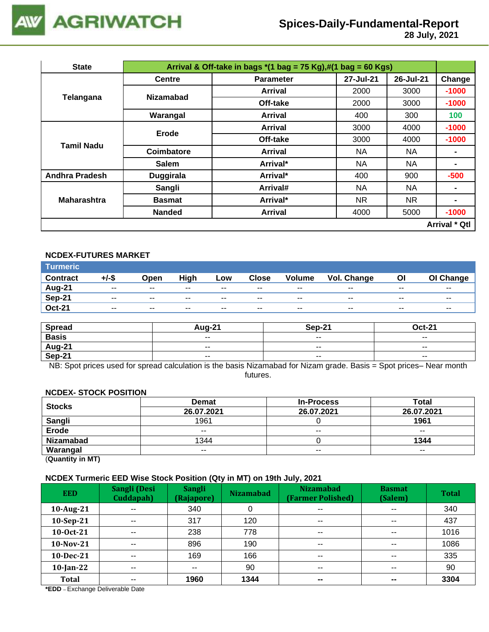

 **28 July, 2021**

| <b>State</b>          |                  | Arrival & Off-take in bags $*(1 \text{ bag} = 75 \text{ Kg}), \#(1 \text{ bag} = 60 \text{ Kg})$ |           |           |                |  |  |
|-----------------------|------------------|--------------------------------------------------------------------------------------------------|-----------|-----------|----------------|--|--|
|                       | <b>Centre</b>    | <b>Parameter</b>                                                                                 | 27-Jul-21 | 26-Jul-21 | Change         |  |  |
| Telangana             | <b>Nizamabad</b> | Arrival                                                                                          | 2000      | 3000      | $-1000$        |  |  |
|                       |                  | Off-take                                                                                         | 2000      | 3000      | $-1000$        |  |  |
|                       | Warangal         | <b>Arrival</b>                                                                                   | 400       | 300       | 100            |  |  |
|                       | Erode            | Arrival                                                                                          | 3000      | 4000      | $-1000$        |  |  |
| <b>Tamil Nadu</b>     |                  | Off-take                                                                                         | 3000      | 4000      | $-1000$        |  |  |
|                       | Coimbatore       | Arrival                                                                                          | NA.       | NA.       |                |  |  |
|                       | <b>Salem</b>     | Arrival*                                                                                         | ΝA        | NA        | $\blacksquare$ |  |  |
| <b>Andhra Pradesh</b> | <b>Duggirala</b> | Arrival*                                                                                         | 400       | 900       | $-500$         |  |  |
|                       | Sangli           | Arrival#                                                                                         | NA        | <b>NA</b> | ۰              |  |  |
| <b>Maharashtra</b>    | <b>Basmat</b>    | Arrival*                                                                                         | NR.       | NR.       | $\blacksquare$ |  |  |
|                       | <b>Nanded</b>    | <b>Arrival</b>                                                                                   | 4000      | 5000      | $-1000$        |  |  |
| <b>Arrival * Qtl</b>  |                  |                                                                                                  |           |           |                |  |  |

## **NCDEX-FUTURES MARKET**

| <b>Turmeric</b> |               |       |       |       |              |        |             |       |           |
|-----------------|---------------|-------|-------|-------|--------------|--------|-------------|-------|-----------|
| <b>Contract</b> | +/-\$         | Open  | High  | Low   | <b>Close</b> | Volume | Vol. Change | Οl    | OI Change |
| Aug-21          | $\sim$ $\sim$ | $- -$ | $- -$ | $- -$ | $- -$        | $- -$  | $- -$       | $- -$ | $- -$     |
| Sep-21          | $- -$         | $- -$ | $- -$ | --    | $- -$        | $- -$  | $- -$       | $- -$ | $- -$     |
| <b>Oct-21</b>   | $- -$         | $- -$ | $- -$ | $- -$ | $- -$        | $- -$  | $- -$       | $- -$ | $- -$     |

| <b>Spread</b> | <b>Aug-21</b> | Sep-21 | Oct-21                   |
|---------------|---------------|--------|--------------------------|
| <b>Basis</b>  | $- -$         | $- -$  | $\sim$ $\sim$            |
| Aug-21        | $\sim$ $\sim$ | $- -$  | $\overline{\phantom{a}}$ |
| Sep-21        | $- -$         | $- -$  | $\overline{\phantom{a}}$ |

NB: Spot prices used for spread calculation is the basis Nizamabad for Nizam grade. Basis = Spot prices– Near month futures.

#### **NCDEX- STOCK POSITION**

| <b>Stocks</b>    | <b>Demat</b> | <b>In-Process</b> | Total         |
|------------------|--------------|-------------------|---------------|
|                  | 26.07.2021   | 26.07.2021        | 26.07.2021    |
| Sangli           | 1961         |                   | 1961          |
| <b>Erode</b>     | $- -$        | $- -$             | $\sim$ $\sim$ |
| <b>Nizamabad</b> | 1344         |                   | 1344          |
| Warangal         | $- -$        | $- -$             | $- -$         |

(**Quantity in MT)**

## **NCDEX Turmeric EED Wise Stock Position (Qty in MT) on 19th July, 2021**

| <b>EED</b>   | Sangli (Desi<br>Cuddapah) | <b>Sangli</b><br>(Rajapore) | <b>Nizamabad</b> | <b>Nizamabad</b><br>(Farmer Polished) | <b>Basmat</b><br>(Salem) | <b>Total</b> |
|--------------|---------------------------|-----------------------------|------------------|---------------------------------------|--------------------------|--------------|
| 10-Aug-21    | $- -$                     | 340                         |                  | $\sim$ $\sim$                         | $\overline{\phantom{a}}$ | 340          |
| $10-Sep-21$  | $- -$                     | 317                         | 120              | $\sim$ $\sim$                         | $\overline{\phantom{a}}$ | 437          |
| 10-Oct-21    | $- -$                     | 238                         | 778              | $\sim$ $\sim$                         | $- -$                    | 1016         |
| 10-Nov-21    | $\sim$ $\sim$             | 896                         | 190              | $\sim$ $\sim$                         | $\sim$ $\sim$            | 1086         |
| 10-Dec-21    | $- -$                     | 169                         | 166              | $\sim$ $\sim$                         | $\sim$ $\sim$            | 335          |
| $10$ -Jan-22 | $- -$                     | $- -$                       | 90               | $\overline{\phantom{a}}$              | $\sim$ $\sim$            | 90           |
| <b>Total</b> | $- -$                     | 1960                        | 1344             | $\sim$                                | $\sim$                   | 3304         |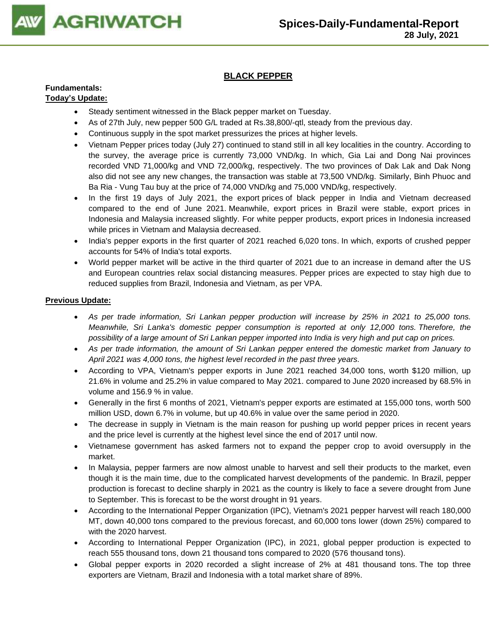

## **BLACK PEPPER**

#### **Fundamentals: Today's Update:**

- Steady sentiment witnessed in the Black pepper market on Tuesday.
- As of 27th July, new pepper 500 G/L traded at Rs.38,800/-qtl, steady from the previous day.
- Continuous supply in the spot market pressurizes the prices at higher levels.
- Vietnam Pepper prices today (July 27) continued to stand still in all key localities in the country. According to the survey, the average price is currently 73,000 VND/kg. In which, Gia Lai and Dong Nai provinces recorded VND 71,000/kg and VND 72,000/kg, respectively. The two provinces of Dak Lak and Dak Nong also did not see any new changes, the transaction was stable at 73,500 VND/kg. Similarly, Binh Phuoc and Ba Ria - Vung Tau buy at the price of 74,000 VND/kg and 75,000 VND/kg, respectively.
- In the first 19 days of July 2021, the export prices of black pepper in India and Vietnam decreased compared to the end of June 2021. Meanwhile, export prices in Brazil were stable, export prices in Indonesia and Malaysia increased slightly. For white pepper products, export prices in Indonesia increased while prices in Vietnam and Malaysia decreased.
- India's pepper exports in the first quarter of 2021 reached 6,020 tons. In which, exports of crushed pepper accounts for 54% of India's total exports.
- World pepper market will be active in the third quarter of 2021 due to an increase in demand after the US and European countries relax social distancing measures. Pepper prices are expected to stay high due to reduced supplies from Brazil, Indonesia and Vietnam, as per VPA.

- *As per trade information, Sri Lankan pepper production will increase by 25% in 2021 to 25,000 tons. Meanwhile, Sri Lanka's domestic pepper consumption is reported at only 12,000 tons. Therefore, the possibility of a large amount of Sri Lankan pepper imported into India is very high and put cap on prices.*
- *As per trade information, the amount of Sri Lankan pepper entered the domestic market from January to April 2021 was 4,000 tons, the highest level recorded in the past three years.*
- According to VPA, Vietnam's pepper exports in June 2021 reached 34,000 tons, worth \$120 million, up 21.6% in volume and 25.2% in value compared to May 2021. compared to June 2020 increased by 68.5% in volume and 156.9 % in value.
- Generally in the first 6 months of 2021, Vietnam's pepper exports are estimated at 155,000 tons, worth 500 million USD, down 6.7% in volume, but up 40.6% in value over the same period in 2020.
- The decrease in supply in Vietnam is the main reason for pushing up world pepper prices in recent years and the price level is currently at the highest level since the end of 2017 until now.
- Vietnamese government has asked farmers not to expand the pepper crop to avoid oversupply in the market.
- In Malaysia, pepper farmers are now almost unable to harvest and sell their products to the market, even though it is the main time, due to the complicated harvest developments of the pandemic. In Brazil, pepper production is forecast to decline sharply in 2021 as the country is likely to face a severe drought from June to September. This is forecast to be the worst drought in 91 years.
- According to the International Pepper Organization (IPC), Vietnam's 2021 pepper harvest will reach 180,000 MT, down 40,000 tons compared to the previous forecast, and 60,000 tons lower (down 25%) compared to with the 2020 harvest.
- According to International Pepper Organization (IPC), in 2021, global pepper production is expected to reach 555 thousand tons, down 21 thousand tons compared to 2020 (576 thousand tons).
- Global pepper exports in 2020 recorded a slight increase of 2% at 481 thousand tons. The top three exporters are Vietnam, Brazil and Indonesia with a total market share of 89%.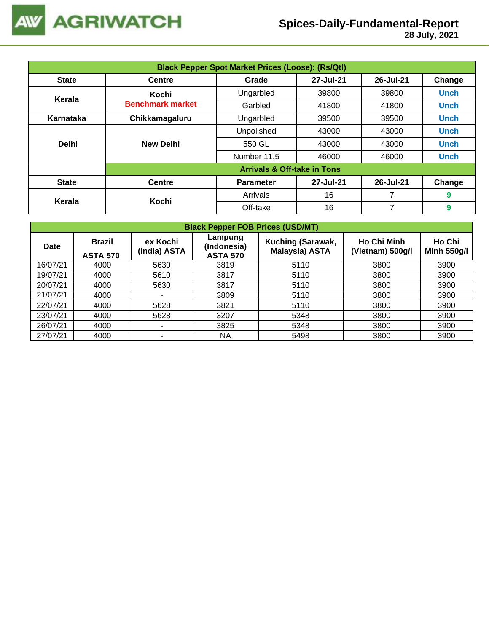

 **28 July, 2021**

|              | <b>Black Pepper Spot Market Prices (Loose): (Rs/Qtl)</b> |                                           |           |           |             |  |  |  |  |  |
|--------------|----------------------------------------------------------|-------------------------------------------|-----------|-----------|-------------|--|--|--|--|--|
| <b>State</b> | <b>Centre</b>                                            | 27-Jul-21<br>26-Jul-21<br>Change<br>Grade |           |           |             |  |  |  |  |  |
|              | Kochi                                                    | Ungarbled                                 | 39800     | 39800     | <b>Unch</b> |  |  |  |  |  |
| Kerala       | <b>Benchmark market</b>                                  | Garbled                                   | 41800     | 41800     | <b>Unch</b> |  |  |  |  |  |
| Karnataka    | Chikkamagaluru                                           | Ungarbled                                 | 39500     | 39500     | <b>Unch</b> |  |  |  |  |  |
|              |                                                          | Unpolished                                | 43000     | 43000     | <b>Unch</b> |  |  |  |  |  |
| <b>Delhi</b> | <b>New Delhi</b>                                         | 550 GL                                    | 43000     | 43000     | <b>Unch</b> |  |  |  |  |  |
|              |                                                          | Number 11.5                               | 46000     | 46000     | <b>Unch</b> |  |  |  |  |  |
|              |                                                          | <b>Arrivals &amp; Off-take in Tons</b>    |           |           |             |  |  |  |  |  |
| <b>State</b> | <b>Centre</b>                                            | <b>Parameter</b>                          | 27-Jul-21 | 26-Jul-21 | Change      |  |  |  |  |  |
|              | Kochi                                                    | Arrivals                                  | 16        | 7         | 9           |  |  |  |  |  |
| Kerala       |                                                          | Off-take                                  | 16        |           | 9           |  |  |  |  |  |

| <b>Black Pepper FOB Prices (USD/MT)</b> |                                  |                          |                                           |                                            |                                        |                              |  |  |  |  |
|-----------------------------------------|----------------------------------|--------------------------|-------------------------------------------|--------------------------------------------|----------------------------------------|------------------------------|--|--|--|--|
| <b>Date</b>                             | <b>Brazil</b><br><b>ASTA 570</b> | ex Kochi<br>(India) ASTA | Lampung<br>(Indonesia)<br><b>ASTA 570</b> | Kuching (Sarawak,<br><b>Malaysia) ASTA</b> | <b>Ho Chi Minh</b><br>(Vietnam) 500g/l | Ho Chi<br><b>Minh 550g/l</b> |  |  |  |  |
| 16/07/21                                | 4000                             | 5630                     | 3819                                      | 5110                                       | 3800                                   | 3900                         |  |  |  |  |
| 19/07/21                                | 4000                             | 5610                     | 3817                                      | 5110                                       | 3800                                   | 3900                         |  |  |  |  |
| 20/07/21                                | 4000                             | 5630                     | 3817                                      | 5110                                       | 3800                                   | 3900                         |  |  |  |  |
| 21/07/21                                | 4000                             | ۰                        | 3809                                      | 5110                                       | 3800                                   | 3900                         |  |  |  |  |
| 22/07/21                                | 4000                             | 5628                     | 3821                                      | 5110                                       | 3800                                   | 3900                         |  |  |  |  |
| 23/07/21                                | 4000                             | 5628                     | 3207                                      | 5348                                       | 3800                                   | 3900                         |  |  |  |  |
| 26/07/21                                | 4000                             | ۰.                       | 3825                                      | 5348                                       | 3800                                   | 3900                         |  |  |  |  |
| 27/07/21                                | 4000                             | ۰                        | NA                                        | 5498                                       | 3800                                   | 3900                         |  |  |  |  |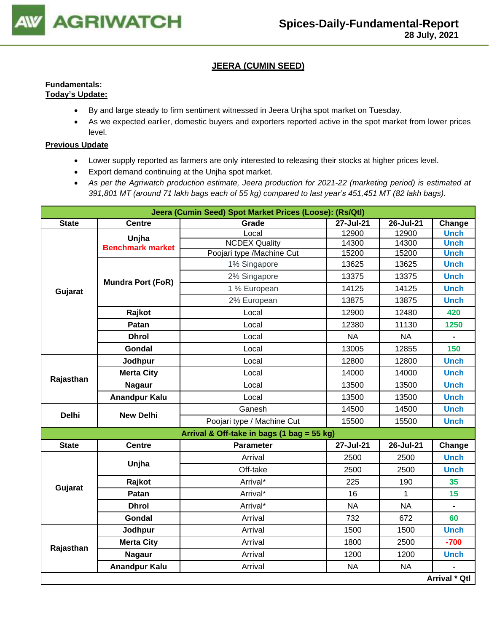

## **JEERA (CUMIN SEED)**

## **Fundamentals: Today's Update:**

- By and large steady to firm sentiment witnessed in Jeera Unjha spot market on Tuesday.
- As we expected earlier, domestic buyers and exporters reported active in the spot market from lower prices level.

- Lower supply reported as farmers are only interested to releasing their stocks at higher prices level.
- Export demand continuing at the Unjha spot market.
- *As per the Agriwatch production estimate, Jeera production for 2021-22 (marketing period) is estimated at 391,801 MT (around 71 lakh bags each of 55 kg) compared to last year's 451,451 MT (82 lakh bags).*

|              |                          | Jeera (Cumin Seed) Spot Market Prices (Loose): (Rs/Qtl) |           |           |               |
|--------------|--------------------------|---------------------------------------------------------|-----------|-----------|---------------|
| <b>State</b> | <b>Centre</b>            | Grade                                                   | 27-Jul-21 | 26-Jul-21 | Change        |
|              | Unjha                    | Local                                                   | 12900     | 12900     | <b>Unch</b>   |
|              | <b>Benchmark market</b>  | <b>NCDEX Quality</b>                                    | 14300     | 14300     | <b>Unch</b>   |
|              |                          | Poojari type /Machine Cut                               | 15200     | 15200     | <b>Unch</b>   |
|              |                          | 1% Singapore                                            | 13625     | 13625     | <b>Unch</b>   |
|              | <b>Mundra Port (FoR)</b> | 2% Singapore                                            | 13375     | 13375     | <b>Unch</b>   |
| Gujarat      |                          | 1 % European                                            | 14125     | 14125     | <b>Unch</b>   |
|              |                          | 2% European                                             | 13875     | 13875     | <b>Unch</b>   |
|              | Rajkot                   | Local                                                   | 12900     | 12480     | 420           |
|              | Patan                    | Local                                                   | 12380     | 11130     | 1250          |
|              | <b>Dhrol</b>             | Local                                                   | <b>NA</b> | <b>NA</b> |               |
|              | <b>Gondal</b>            | Local                                                   | 13005     | 12855     | 150           |
|              | Jodhpur                  | Local                                                   | 12800     | 12800     | <b>Unch</b>   |
|              | <b>Merta City</b>        | Local                                                   | 14000     | 14000     | <b>Unch</b>   |
| Rajasthan    | <b>Nagaur</b>            | Local                                                   | 13500     | 13500     | <b>Unch</b>   |
|              | <b>Anandpur Kalu</b>     | Local                                                   | 13500     | 13500     | <b>Unch</b>   |
| <b>Delhi</b> | <b>New Delhi</b>         | Ganesh                                                  | 14500     | 14500     | <b>Unch</b>   |
|              |                          | Poojari type / Machine Cut                              | 15500     | 15500     | <b>Unch</b>   |
|              |                          | Arrival & Off-take in bags (1 bag = 55 kg)              |           |           |               |
| <b>State</b> | <b>Centre</b>            | <b>Parameter</b>                                        | 27-Jul-21 | 26-Jul-21 | Change        |
|              | Unjha                    | Arrival                                                 | 2500      | 2500      | <b>Unch</b>   |
|              |                          | Off-take                                                | 2500      | 2500      | <b>Unch</b>   |
|              | Rajkot                   | Arrival*                                                | 225       | 190       | 35            |
| Gujarat      | Patan                    | Arrival*                                                | 16        | 1         | 15            |
|              | <b>Dhrol</b>             | Arrival*                                                | <b>NA</b> | <b>NA</b> |               |
|              | <b>Gondal</b>            | Arrival                                                 | 732       | 672       | 60            |
|              | Jodhpur                  | Arrival                                                 | 1500      | 1500      | <b>Unch</b>   |
|              | <b>Merta City</b>        | Arrival                                                 | 1800      | 2500      | $-700$        |
| Rajasthan    | <b>Nagaur</b>            | Arrival                                                 | 1200      | 1200      | <b>Unch</b>   |
|              | <b>Anandpur Kalu</b>     | Arrival                                                 | <b>NA</b> | <b>NA</b> |               |
|              |                          |                                                         |           |           | Arrival * Qtl |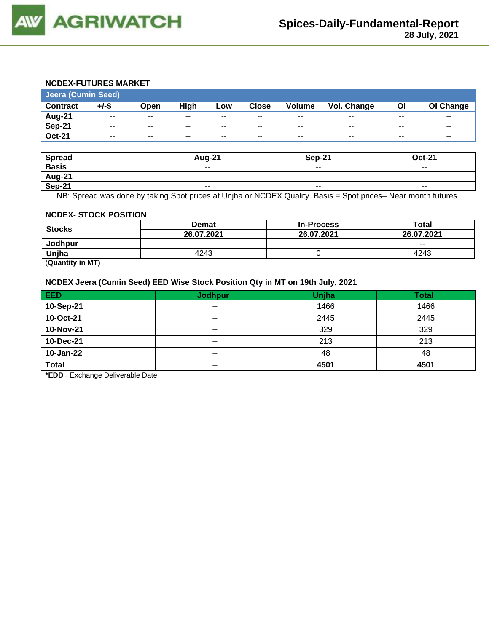

## **NCDEX-FUTURES MARKET**

| <b>Jeera (Cumin Seed)</b> |                          |                          |                          |       |                          |                          |                    |       |           |
|---------------------------|--------------------------|--------------------------|--------------------------|-------|--------------------------|--------------------------|--------------------|-------|-----------|
| <b>Contract</b>           | $+/-$ \$                 | Open                     | High                     | Low   | <b>Close</b>             | <b>Volume</b>            | <b>Vol. Change</b> | OI    | OI Change |
| <b>Aug-21</b>             | $\overline{\phantom{a}}$ | $\overline{\phantom{a}}$ | $\overline{\phantom{m}}$ | $- -$ | $\overline{\phantom{a}}$ | $\overline{\phantom{a}}$ | $- -$              | $- -$ | $- -$     |
| <b>Sep-21</b>             | $- -$                    | $\overline{\phantom{a}}$ | $- -$                    | $- -$ | $\overline{\phantom{a}}$ | $\overline{\phantom{a}}$ | $- -$              | $- -$ | $- -$     |
| <b>Oct-21</b>             | $- -$                    | $- -$                    | $- -$                    | $- -$ | $- -$                    | $- -$                    | $- -$              | $- -$ | $- -$     |
|                           |                          |                          |                          |       |                          |                          |                    |       |           |

| <b>Spread</b> | <b>Aug-21</b> | Sep-21                   | <b>Oct-21</b> |
|---------------|---------------|--------------------------|---------------|
| <b>Basis</b>  | $- -$         | $- -$                    | $- -$         |
| <b>Aug-21</b> | $\sim$ $\sim$ | $\overline{\phantom{a}}$ | $\sim$ $\sim$ |
| Sep-21        | $\sim$ $\sim$ | $\sim$ $\sim$            | $- -$         |

NB: Spread was done by taking Spot prices at Unjha or NCDEX Quality. Basis = Spot prices– Near month futures.

#### **NCDEX- STOCK POSITION**

|               | <b>Demat</b> | <b>In-Process</b> | Total      |  |
|---------------|--------------|-------------------|------------|--|
| <b>Stocks</b> | 26.07.2021   | 26.07.2021        | 26.07.2021 |  |
| Jodhpur       | $- -$        | $-$               | $- -$      |  |
| Unjha         | 4243         |                   | 4243       |  |
| ____<br>__    |              |                   |            |  |

(**Quantity in MT)**

## **NCDEX Jeera (Cumin Seed) EED Wise Stock Position Qty in MT on 19th July, 2021**

| EED          | <b>Jodhpur</b> | Unjha | <b>Total</b> |
|--------------|----------------|-------|--------------|
| 10-Sep-21    | $- -$          | 1466  | 1466         |
| 10-Oct-21    | $- -$          | 2445  | 2445         |
| 10-Nov-21    | $- -$          | 329   | 329          |
| 10-Dec-21    | $- -$          | 213   | 213          |
| 10-Jan-22    | $- -$          | 48    | 48           |
| <b>Total</b> | $- -$          | 4501  | 4501         |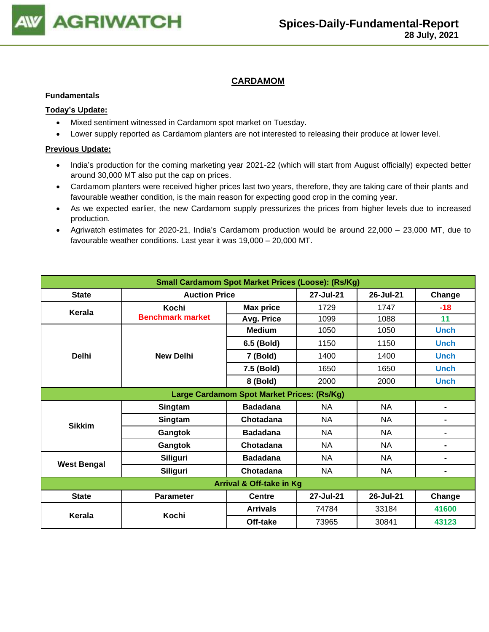

## **CARDAMOM**

#### **Fundamentals**

## **Today's Update:**

- Mixed sentiment witnessed in Cardamom spot market on Tuesday.
- Lower supply reported as Cardamom planters are not interested to releasing their produce at lower level.

- India's production for the coming marketing year 2021-22 (which will start from August officially) expected better around 30,000 MT also put the cap on prices.
- Cardamom planters were received higher prices last two years, therefore, they are taking care of their plants and favourable weather condition, is the main reason for expecting good crop in the coming year.
- As we expected earlier, the new Cardamom supply pressurizes the prices from higher levels due to increased production.
- Agriwatch estimates for 2020-21, India's Cardamom production would be around 22,000 23,000 MT, due to favourable weather conditions. Last year it was 19,000 – 20,000 MT.

| <b>Small Cardamom Spot Market Prices (Loose): (Rs/Kg)</b> |                         |                  |           |           |                |  |  |
|-----------------------------------------------------------|-------------------------|------------------|-----------|-----------|----------------|--|--|
| <b>State</b>                                              | <b>Auction Price</b>    |                  | 27-Jul-21 | 26-Jul-21 | Change         |  |  |
| Kerala                                                    | Kochi                   | <b>Max price</b> | 1729      | 1747      | $-18$          |  |  |
|                                                           | <b>Benchmark market</b> | Avg. Price       | 1099      | 1088      | 11             |  |  |
|                                                           |                         | <b>Medium</b>    | 1050      | 1050      | <b>Unch</b>    |  |  |
|                                                           |                         | 6.5 (Bold)       | 1150      | 1150      | <b>Unch</b>    |  |  |
| <b>Delhi</b>                                              | <b>New Delhi</b>        | 7 (Bold)         | 1400      | 1400      | <b>Unch</b>    |  |  |
|                                                           |                         | 7.5 (Bold)       | 1650      | 1650      | <b>Unch</b>    |  |  |
|                                                           |                         | 8 (Bold)         | 2000      | 2000      | <b>Unch</b>    |  |  |
| Large Cardamom Spot Market Prices: (Rs/Kg)                |                         |                  |           |           |                |  |  |
|                                                           | Singtam                 | <b>Badadana</b>  | <b>NA</b> | <b>NA</b> | ۰              |  |  |
|                                                           | Singtam                 | Chotadana        | NA        | <b>NA</b> | $\blacksquare$ |  |  |
| <b>Sikkim</b>                                             | Gangtok                 | <b>Badadana</b>  | <b>NA</b> | <b>NA</b> | $\blacksquare$ |  |  |
|                                                           | Gangtok                 | Chotadana        | <b>NA</b> | <b>NA</b> | $\blacksquare$ |  |  |
|                                                           | Siliguri                | <b>Badadana</b>  | <b>NA</b> | <b>NA</b> | $\blacksquare$ |  |  |
| <b>West Bengal</b>                                        | <b>Siliguri</b>         | Chotadana        | <b>NA</b> | <b>NA</b> | $\blacksquare$ |  |  |
| Arrival & Off-take in Kg                                  |                         |                  |           |           |                |  |  |
| <b>State</b>                                              | <b>Parameter</b>        | <b>Centre</b>    | 27-Jul-21 | 26-Jul-21 | Change         |  |  |
|                                                           |                         | <b>Arrivals</b>  | 74784     | 33184     | 41600          |  |  |
| Kerala                                                    | Kochi                   | Off-take         | 73965     | 30841     | 43123          |  |  |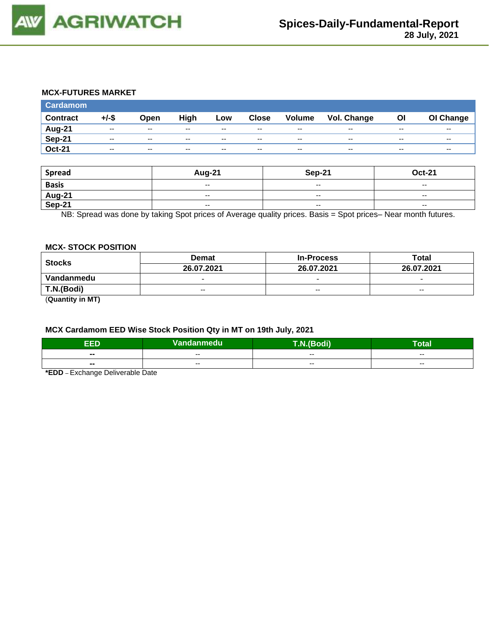

#### **MCX-FUTURES MARKET**

| <b>Cardamom</b> |                          |                          |       |       |              |                          |             |       |           |
|-----------------|--------------------------|--------------------------|-------|-------|--------------|--------------------------|-------------|-------|-----------|
| <b>Contract</b> | +/-\$                    | Open                     | High  | Low   | <b>Close</b> | Volume                   | Vol. Change | OI    | OI Change |
| Aug-21          | $\overline{\phantom{a}}$ | $- -$                    | $- -$ | $- -$ | $- -$        | $- -$                    | $- -$       | $- -$ | $- -$     |
| <b>Sep-21</b>   | $- -$                    | $- -$                    | $- -$ | $-$   | $-$          | $\overline{\phantom{a}}$ | $- -$       | $- -$ | $- -$     |
| <b>Oct-21</b>   | $- -$                    | $\overline{\phantom{a}}$ | $- -$ | $- -$ | $- -$        | $- -$                    | $- -$       | $- -$ | $- -$     |

| <b>Spread</b>    | Aug-21                   | <b>Sep-21</b>            | <b>Oct-21</b>            |
|------------------|--------------------------|--------------------------|--------------------------|
| <b>Basis</b>     | $\sim$                   | $- -$                    | $- -$                    |
| Aug-21<br>Sep-21 | $\overline{\phantom{a}}$ | $- -$                    | $- -$                    |
|                  | $\overline{\phantom{a}}$ | $\overline{\phantom{a}}$ | $\overline{\phantom{a}}$ |

NB: Spread was done by taking Spot prices of Average quality prices. Basis = Spot prices– Near month futures.

#### **MCX- STOCK POSITION**

| <b>Stocks</b>       | <b>Demat</b>             | <b>In-Process</b>        | Total                    |  |
|---------------------|--------------------------|--------------------------|--------------------------|--|
|                     | 26.07.2021               | 26.07.2021               | 26.07.2021               |  |
| Vandanmedu          | $\overline{\phantom{0}}$ | $\overline{\phantom{0}}$ | $\overline{\phantom{0}}$ |  |
| T.N.(Bodi)          | $- -$                    | $- -$                    | $- -$                    |  |
| $(①$ usntity in MT) |                          |                          |                          |  |

(**Quantity in MT)**

## **MCX Cardamom EED Wise Stock Position Qty in MT on 19th July, 2021**

| ъ<br>сU                  | Vandanmedu | T.N.(Bodi) | --<br>lotal |  |
|--------------------------|------------|------------|-------------|--|
| $\overline{\phantom{a}}$ | $- -$      | $- -$      | $- -$       |  |
| $\blacksquare$           | $- -$      | $- -$      | $- -$       |  |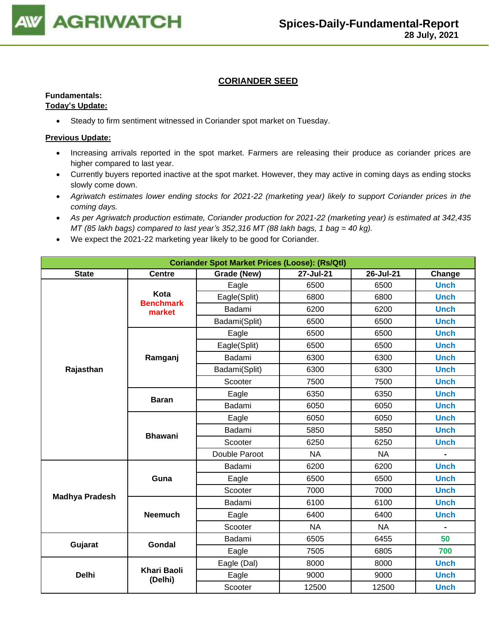

## **CORIANDER SEED**

## **Fundamentals:**

#### **Today's Update:**

• Steady to firm sentiment witnessed in Coriander spot market on Tuesday.

- Increasing arrivals reported in the spot market. Farmers are releasing their produce as coriander prices are higher compared to last year.
- Currently buyers reported inactive at the spot market. However, they may active in coming days as ending stocks slowly come down.
- *Agriwatch estimates lower ending stocks for 2021-22 (marketing year) likely to support Coriander prices in the coming days.*
- *As per Agriwatch production estimate, Coriander production for 2021-22 (marketing year) is estimated at 342,435 MT (85 lakh bags) compared to last year's 352,316 MT (88 lakh bags, 1 bag = 40 kg).*
- We expect the 2021-22 marketing year likely to be good for Coriander.

| <b>Coriander Spot Market Prices (Loose): (Rs/Qtl)</b> |                               |                                                 |           |           |             |  |  |
|-------------------------------------------------------|-------------------------------|-------------------------------------------------|-----------|-----------|-------------|--|--|
| <b>State</b>                                          | <b>Centre</b>                 | 27-Jul-21<br>26-Jul-21<br>Grade (New)<br>Change |           |           |             |  |  |
|                                                       |                               | Eagle                                           | 6500      | 6500      | <b>Unch</b> |  |  |
|                                                       | Kota<br><b>Benchmark</b>      | Eagle(Split)                                    | 6800      | 6800      | <b>Unch</b> |  |  |
|                                                       | market                        | Badami                                          | 6200      | 6200      | <b>Unch</b> |  |  |
|                                                       |                               | Badami(Split)                                   | 6500      | 6500      | <b>Unch</b> |  |  |
|                                                       |                               | Eagle                                           | 6500      | 6500      | <b>Unch</b> |  |  |
|                                                       |                               | Eagle(Split)                                    | 6500      | 6500      | <b>Unch</b> |  |  |
|                                                       | Ramganj                       | Badami                                          | 6300      | 6300      | <b>Unch</b> |  |  |
| Rajasthan                                             |                               | Badami(Split)                                   | 6300      | 6300      | <b>Unch</b> |  |  |
|                                                       |                               | Scooter                                         | 7500      | 7500      | <b>Unch</b> |  |  |
|                                                       | <b>Baran</b>                  | Eagle                                           | 6350      | 6350      | <b>Unch</b> |  |  |
|                                                       |                               | Badami                                          | 6050      | 6050      | <b>Unch</b> |  |  |
|                                                       | <b>Bhawani</b>                | Eagle                                           | 6050      | 6050      | <b>Unch</b> |  |  |
|                                                       |                               | Badami                                          | 5850      | 5850      | <b>Unch</b> |  |  |
|                                                       |                               | Scooter                                         | 6250      | 6250      | <b>Unch</b> |  |  |
|                                                       |                               | Double Paroot                                   | <b>NA</b> | <b>NA</b> |             |  |  |
|                                                       |                               | Badami                                          | 6200      | 6200      | <b>Unch</b> |  |  |
|                                                       | Guna                          | Eagle                                           | 6500      | 6500      | <b>Unch</b> |  |  |
|                                                       |                               | Scooter                                         | 7000      | 7000      | <b>Unch</b> |  |  |
| <b>Madhya Pradesh</b>                                 |                               | Badami                                          | 6100      | 6100      | <b>Unch</b> |  |  |
|                                                       | <b>Neemuch</b>                | Eagle                                           | 6400      | 6400      | <b>Unch</b> |  |  |
|                                                       |                               | Scooter                                         | <b>NA</b> | <b>NA</b> |             |  |  |
|                                                       |                               | Badami                                          | 6505      | 6455      | 50          |  |  |
| Gujarat                                               | <b>Gondal</b>                 | Eagle                                           | 7505      | 6805      | 700         |  |  |
|                                                       |                               | Eagle (Dal)                                     | 8000      | 8000      | <b>Unch</b> |  |  |
| <b>Delhi</b>                                          | <b>Khari Baoli</b><br>(Delhi) | Eagle                                           | 9000      | 9000      | <b>Unch</b> |  |  |
|                                                       |                               | Scooter                                         | 12500     | 12500     | <b>Unch</b> |  |  |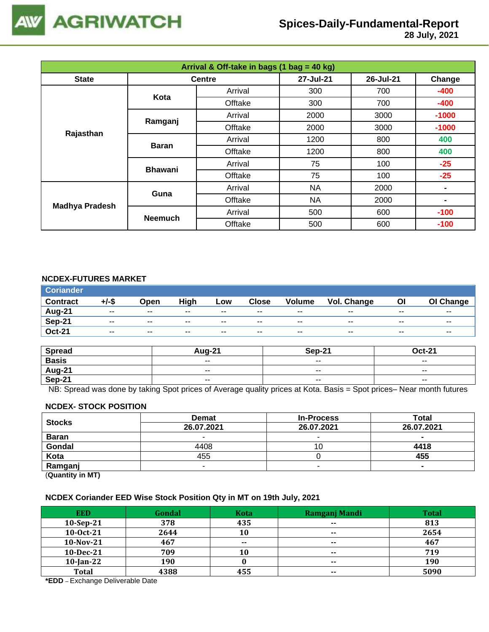

| Arrival & Off-take in bags (1 bag = 40 kg) |                |               |           |           |                |  |  |
|--------------------------------------------|----------------|---------------|-----------|-----------|----------------|--|--|
| <b>State</b>                               |                | <b>Centre</b> | 27-Jul-21 | 26-Jul-21 | Change         |  |  |
|                                            | Kota           | Arrival       | 300       | 700       | $-400$         |  |  |
|                                            |                | Offtake       | 300       | 700       | $-400$         |  |  |
|                                            | Ramganj        | Arrival       | 2000      | 3000      | $-1000$        |  |  |
|                                            |                | Offtake       | 2000      | 3000      | $-1000$        |  |  |
| Rajasthan                                  | <b>Baran</b>   | Arrival       | 1200      | 800       | 400            |  |  |
|                                            |                | Offtake       | 1200      | 800       | 400            |  |  |
|                                            | <b>Bhawani</b> | Arrival       | 75        | 100       | $-25$          |  |  |
|                                            |                | Offtake       | 75        | 100       | $-25$          |  |  |
|                                            | Guna           | Arrival       | <b>NA</b> | 2000      | $\blacksquare$ |  |  |
|                                            |                | Offtake       | <b>NA</b> | 2000      |                |  |  |
| <b>Madhya Pradesh</b>                      |                | Arrival       | 500       | 600       | $-100$         |  |  |
|                                            | <b>Neemuch</b> | Offtake       | 500       | 600       | $-100$         |  |  |

## **NCDEX-FUTURES MARKET**

| <b>Coriander</b> |       |       |       |       |              |               |             |       |                          |
|------------------|-------|-------|-------|-------|--------------|---------------|-------------|-------|--------------------------|
| <b>Contract</b>  | +/-\$ | Open  | High  | Low   | <b>Close</b> | <b>Volume</b> | Vol. Change | OI    | OI Change                |
| Aug-21           | $- -$ | $- -$ | $- -$ | $- -$ | $- -$        | $- -$         | $- -$       | $- -$ | $- -$                    |
| <b>Sep-21</b>    | $- -$ | $- -$ | $- -$ | $- -$ | $- -$        | $- -$         | $- -$       | $- -$ | $\overline{\phantom{a}}$ |
| <b>Oct-21</b>    | $- -$ | $- -$ | $- -$ | $- -$ | $- -$        | $- -$         | $- -$       | $- -$ | $- -$                    |

| <b>Spread</b>                             | $410 - 2^2$ | <b>Sep-21</b>            | $Oct-21$                 |
|-------------------------------------------|-------------|--------------------------|--------------------------|
| <b>Basis</b>                              | $ -$        | $\overline{\phantom{a}}$ | $\overline{\phantom{a}}$ |
| $\frac{\overline{Aug-21}}{\text{Sep-21}}$ | $- -$       | $- -$                    | $- -$                    |
|                                           | $ -$        | $\overline{\phantom{a}}$ | $\overline{\phantom{a}}$ |

NB: Spread was done by taking Spot prices of Average quality prices at Kota. Basis = Spot prices– Near month futures

#### **NCDEX- STOCK POSITION**

| <b>Stocks</b>           | <b>Demat</b> | <b>In-Process</b> | Total      |
|-------------------------|--------------|-------------------|------------|
|                         | 26.07.2021   | 26.07.2021        | 26.07.2021 |
| <b>Baran</b>            |              |                   |            |
| Gondal                  | 4408         | ιU                | 4418       |
| Kota                    | 455          |                   | 455        |
| Ramganj                 | -            |                   |            |
| (0.1222, 0.0122, 0.000) |              |                   |            |

(**Quantity in MT)**

#### **NCDEX Coriander EED Wise Stock Position Qty in MT on 19th July, 2021**

| <b>EED</b>   | Gondal | <b>Kota</b> | Ramganj Mandi | <b>Total</b> |
|--------------|--------|-------------|---------------|--------------|
| $10-Sep-21$  | 378    | 435         | $- -$         | 813          |
| 10-0ct-21    | 2644   | 10          | $\sim$        | 2654         |
| $10-Nov-21$  | 467    | $- -$       | $\sim$        | 467          |
| 10-Dec-21    | 709    | 10          | $\sim$ $\sim$ | 719          |
| $10$ -Jan-22 | 190    |             | $- -$         | 190          |
| <b>Total</b> | 4388   | 455         | $\sim$        | 5090         |